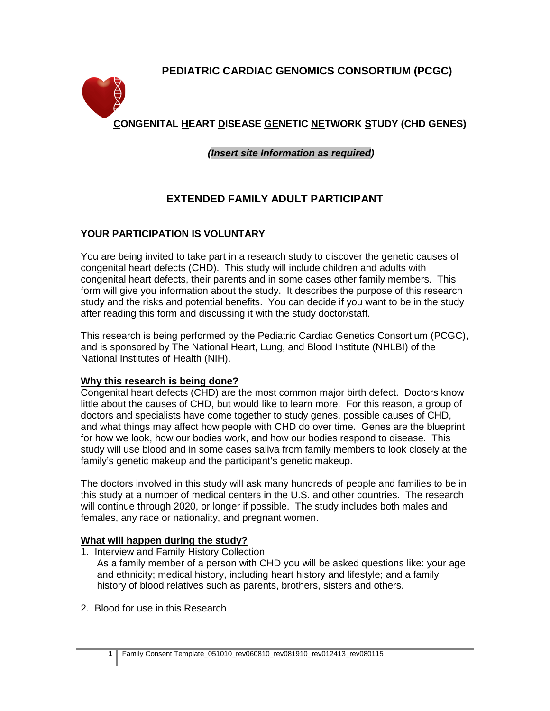# **PEDIATRIC CARDIAC GENOMICS CONSORTIUM (PCGC)**



 **CONGENITAL HEART DISEASE GENETIC NETWORK STUDY (CHD GENES)**

*(Insert site Information as required)*

# **EXTENDED FAMILY ADULT PARTICIPANT**

## **YOUR PARTICIPATION IS VOLUNTARY**

You are being invited to take part in a research study to discover the genetic causes of congenital heart defects (CHD). This study will include children and adults with congenital heart defects, their parents and in some cases other family members. This form will give you information about the study. It describes the purpose of this research study and the risks and potential benefits. You can decide if you want to be in the study after reading this form and discussing it with the study doctor/staff.

This research is being performed by the Pediatric Cardiac Genetics Consortium (PCGC), and is sponsored by The National Heart, Lung, and Blood Institute (NHLBI) of the National Institutes of Health (NIH).

#### **Why this research is being done?**

Congenital heart defects (CHD) are the most common major birth defect. Doctors know little about the causes of CHD, but would like to learn more. For this reason, a group of doctors and specialists have come together to study genes, possible causes of CHD, and what things may affect how people with CHD do over time. Genes are the blueprint for how we look, how our bodies work, and how our bodies respond to disease. This study will use blood and in some cases saliva from family members to look closely at the family's genetic makeup and the participant's genetic makeup.

The doctors involved in this study will ask many hundreds of people and families to be in this study at a number of medical centers in the U.S. and other countries. The research will continue through 2020, or longer if possible. The study includes both males and females, any race or nationality, and pregnant women.

## **What will happen during the study?**

- 1. Interview and Family History Collection
	- As a family member of a person with CHD you will be asked questions like: your age and ethnicity; medical history, including heart history and lifestyle; and a family history of blood relatives such as parents, brothers, sisters and others.
- 2. Blood for use in this Research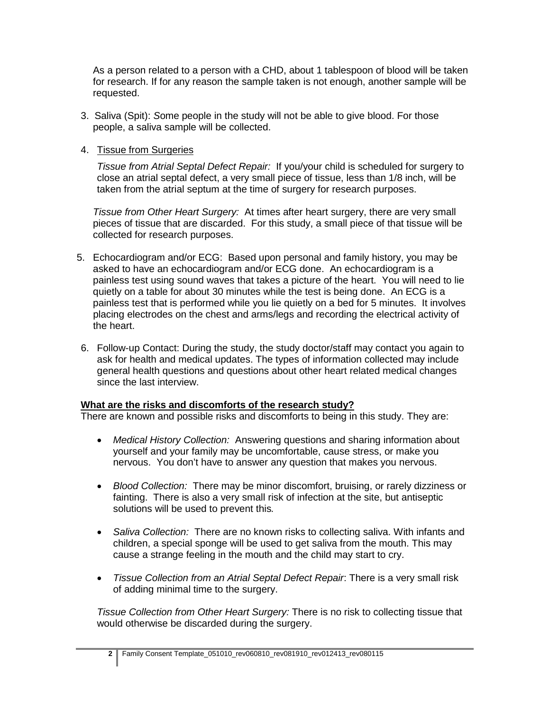As a person related to a person with a CHD, about 1 tablespoon of blood will be taken for research. If for any reason the sample taken is not enough, another sample will be requested.

- 3. Saliva (Spit): *S*ome people in the study will not be able to give blood. For those people, a saliva sample will be collected.
- 4. Tissue from Surgeries

*Tissue from Atrial Septal Defect Repair:* If you/your child is scheduled for surgery to close an atrial septal defect, a very small piece of tissue, less than 1/8 inch, will be taken from the atrial septum at the time of surgery for research purposes.

*Tissue from Other Heart Surgery:* At times after heart surgery, there are very small pieces of tissue that are discarded. For this study, a small piece of that tissue will be collected for research purposes.

- 5. Echocardiogram and/or ECG: Based upon personal and family history, you may be asked to have an echocardiogram and/or ECG done. An echocardiogram is a painless test using sound waves that takes a picture of the heart. You will need to lie quietly on a table for about 30 minutes while the test is being done. An ECG is a painless test that is performed while you lie quietly on a bed for 5 minutes. It involves placing electrodes on the chest and arms/legs and recording the electrical activity of the heart.
- 6. Follow-up Contact: During the study, the study doctor/staff may contact you again to ask for health and medical updates. The types of information collected may include general health questions and questions about other heart related medical changes since the last interview.

#### **What are the risks and discomforts of the research study?**

There are known and possible risks and discomforts to being in this study. They are:

- *Medical History Collection:* Answering questions and sharing information about yourself and your family may be uncomfortable, cause stress, or make you nervous. You don't have to answer any question that makes you nervous.
- *Blood Collection:* There may be minor discomfort, bruising, or rarely dizziness or fainting. There is also a very small risk of infection at the site, but antiseptic solutions will be used to prevent this*.*
- *Saliva Collection:* There are no known risks to collecting saliva. With infants and children, a special sponge will be used to get saliva from the mouth. This may cause a strange feeling in the mouth and the child may start to cry.
- *Tissue Collection from an Atrial Septal Defect Repair*: There is a very small risk of adding minimal time to the surgery.

*Tissue Collection from Other Heart Surgery:* There is no risk to collecting tissue that would otherwise be discarded during the surgery.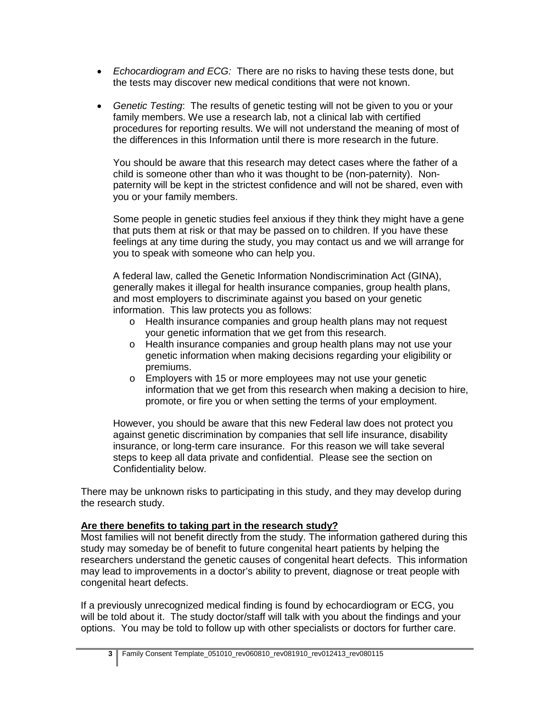- *Echocardiogram and ECG:* There are no risks to having these tests done, but the tests may discover new medical conditions that were not known.
- *Genetic Testing*: The results of genetic testing will not be given to you or your family members. We use a research lab, not a clinical lab with certified procedures for reporting results. We will not understand the meaning of most of the differences in this Information until there is more research in the future.

You should be aware that this research may detect cases where the father of a child is someone other than who it was thought to be (non-paternity). Nonpaternity will be kept in the strictest confidence and will not be shared, even with you or your family members.

Some people in genetic studies feel anxious if they think they might have a gene that puts them at risk or that may be passed on to children. If you have these feelings at any time during the study, you may contact us and we will arrange for you to speak with someone who can help you.

A federal law, called the Genetic Information Nondiscrimination Act (GINA), generally makes it illegal for health insurance companies, group health plans, and most employers to discriminate against you based on your genetic information. This law protects you as follows:

- o Health insurance companies and group health plans may not request your genetic information that we get from this research.
- o Health insurance companies and group health plans may not use your genetic information when making decisions regarding your eligibility or premiums.
- o Employers with 15 or more employees may not use your genetic information that we get from this research when making a decision to hire, promote, or fire you or when setting the terms of your employment.

However, you should be aware that this new Federal law does not protect you against genetic discrimination by companies that sell life insurance, disability insurance, or long-term care insurance. For this reason we will take several steps to keep all data private and confidential. Please see the section on Confidentiality below.

There may be unknown risks to participating in this study, and they may develop during the research study.

#### **Are there benefits to taking part in the research study?**

Most families will not benefit directly from the study. The information gathered during this study may someday be of benefit to future congenital heart patients by helping the researchers understand the genetic causes of congenital heart defects. This information may lead to improvements in a doctor's ability to prevent, diagnose or treat people with congenital heart defects.

If a previously unrecognized medical finding is found by echocardiogram or ECG, you will be told about it. The study doctor/staff will talk with you about the findings and your options. You may be told to follow up with other specialists or doctors for further care.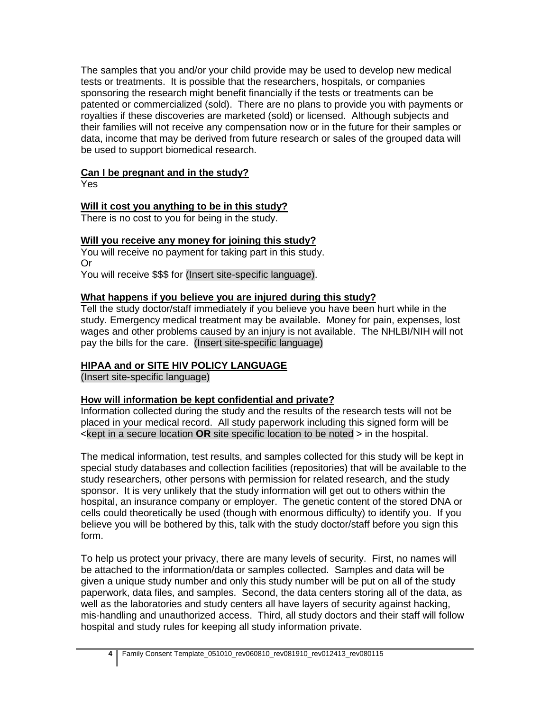The samples that you and/or your child provide may be used to develop new medical tests or treatments. It is possible that the researchers, hospitals, or companies sponsoring the research might benefit financially if the tests or treatments can be patented or commercialized (sold). There are no plans to provide you with payments or royalties if these discoveries are marketed (sold) or licensed. Although subjects and their families will not receive any compensation now or in the future for their samples or data, income that may be derived from future research or sales of the grouped data will be used to support biomedical research.

## **Can I be pregnant and in the study?**

Yes

### **Will it cost you anything to be in this study?**

There is no cost to you for being in the study.

## **Will you receive any money for joining this study?**

You will receive no payment for taking part in this study. Or

You will receive \$\$\$ for (Insert site-specific language).

#### **What happens if you believe you are injured during this study?**

Tell the study doctor/staff immediately if you believe you have been hurt while in the study. Emergency medical treatment may be available**.** Money for pain, expenses, lost wages and other problems caused by an injury is not available. The NHLBI/NIH will not pay the bills for the care. (Insert site-specific language)

## **HIPAA and or SITE HIV POLICY LANGUAGE**

(Insert site-specific language)

#### **How will information be kept confidential and private?**

Information collected during the study and the results of the research tests will not be placed in your medical record. All study paperwork including this signed form will be <kept in a secure location **OR** site specific location to be noted > in the hospital.

The medical information, test results, and samples collected for this study will be kept in special study databases and collection facilities (repositories) that will be available to the study researchers, other persons with permission for related research, and the study sponsor. It is very unlikely that the study information will get out to others within the hospital, an insurance company or employer. The genetic content of the stored DNA or cells could theoretically be used (though with enormous difficulty) to identify you. If you believe you will be bothered by this, talk with the study doctor/staff before you sign this form.

To help us protect your privacy, there are many levels of security. First, no names will be attached to the information/data or samples collected. Samples and data will be given a unique study number and only this study number will be put on all of the study paperwork, data files, and samples. Second, the data centers storing all of the data, as well as the laboratories and study centers all have layers of security against hacking, mis-handling and unauthorized access. Third, all study doctors and their staff will follow hospital and study rules for keeping all study information private.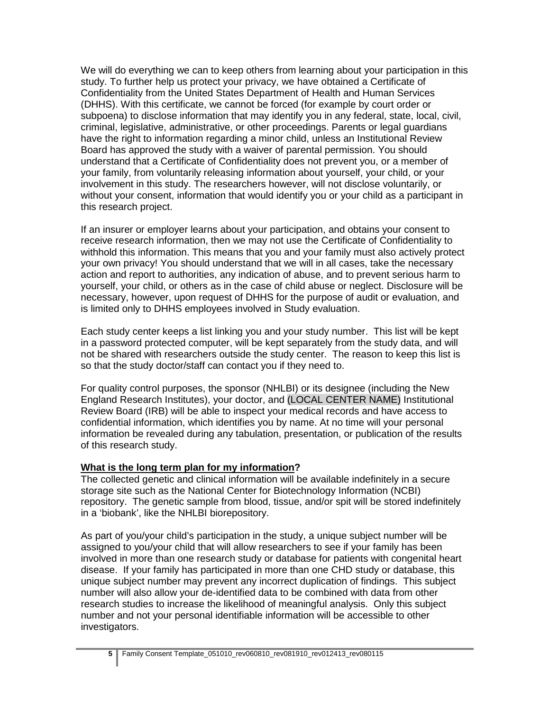We will do everything we can to keep others from learning about your participation in this study. To further help us protect your privacy, we have obtained a Certificate of Confidentiality from the United States Department of Health and Human Services (DHHS). With this certificate, we cannot be forced (for example by court order or subpoena) to disclose information that may identify you in any federal, state, local, civil, criminal, legislative, administrative, or other proceedings. Parents or legal guardians have the right to information regarding a minor child, unless an Institutional Review Board has approved the study with a waiver of parental permission. You should understand that a Certificate of Confidentiality does not prevent you, or a member of your family, from voluntarily releasing information about yourself, your child, or your involvement in this study. The researchers however, will not disclose voluntarily, or without your consent, information that would identify you or your child as a participant in this research project.

If an insurer or employer learns about your participation, and obtains your consent to receive research information, then we may not use the Certificate of Confidentiality to withhold this information. This means that you and your family must also actively protect your own privacy! You should understand that we will in all cases, take the necessary action and report to authorities, any indication of abuse, and to prevent serious harm to yourself, your child, or others as in the case of child abuse or neglect. Disclosure will be necessary, however, upon request of DHHS for the purpose of audit or evaluation, and is limited only to DHHS employees involved in Study evaluation.

Each study center keeps a list linking you and your study number. This list will be kept in a password protected computer, will be kept separately from the study data, and will not be shared with researchers outside the study center. The reason to keep this list is so that the study doctor/staff can contact you if they need to.

For quality control purposes, the sponsor (NHLBI) or its designee (including the New England Research Institutes), your doctor, and (LOCAL CENTER NAME) Institutional Review Board (IRB) will be able to inspect your medical records and have access to confidential information, which identifies you by name. At no time will your personal information be revealed during any tabulation, presentation, or publication of the results of this research study.

#### **What is the long term plan for my information?**

The collected genetic and clinical information will be available indefinitely in a secure storage site such as the National Center for Biotechnology Information (NCBI) repository. The genetic sample from blood, tissue, and/or spit will be stored indefinitely in a 'biobank', like the NHLBI biorepository.

As part of you/your child's participation in the study, a unique subject number will be assigned to you/your child that will allow researchers to see if your family has been involved in more than one research study or database for patients with congenital heart disease. If your family has participated in more than one CHD study or database, this unique subject number may prevent any incorrect duplication of findings. This subject number will also allow your de-identified data to be combined with data from other research studies to increase the likelihood of meaningful analysis. Only this subject number and not your personal identifiable information will be accessible to other investigators.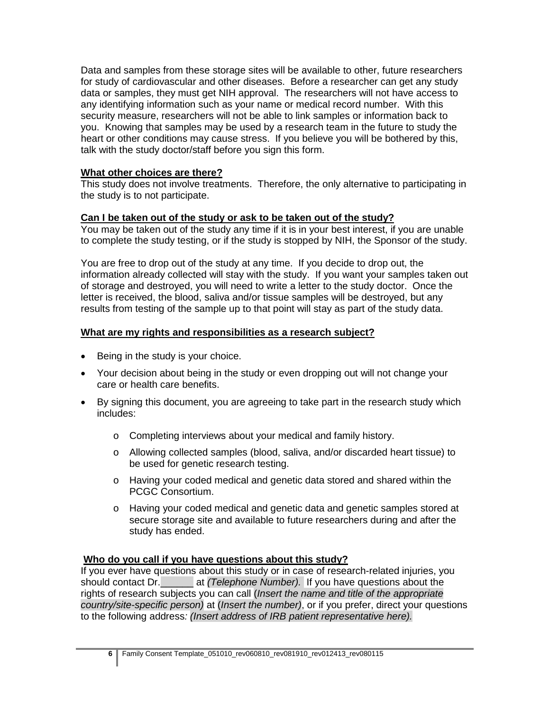Data and samples from these storage sites will be available to other, future researchers for study of cardiovascular and other diseases. Before a researcher can get any study data or samples, they must get NIH approval. The researchers will not have access to any identifying information such as your name or medical record number. With this security measure, researchers will not be able to link samples or information back to you. Knowing that samples may be used by a research team in the future to study the heart or other conditions may cause stress. If you believe you will be bothered by this, talk with the study doctor/staff before you sign this form.

#### **What other choices are there?**

This study does not involve treatments. Therefore, the only alternative to participating in the study is to not participate.

### **Can I be taken out of the study or ask to be taken out of the study?**

You may be taken out of the study any time if it is in your best interest, if you are unable to complete the study testing, or if the study is stopped by NIH, the Sponsor of the study.

You are free to drop out of the study at any time. If you decide to drop out, the information already collected will stay with the study. If you want your samples taken out of storage and destroyed, you will need to write a letter to the study doctor. Once the letter is received, the blood, saliva and/or tissue samples will be destroyed, but any results from testing of the sample up to that point will stay as part of the study data.

### **What are my rights and responsibilities as a research subject?**

- Being in the study is your choice.
- Your decision about being in the study or even dropping out will not change your care or health care benefits.
- By signing this document, you are agreeing to take part in the research study which includes:
	- o Completing interviews about your medical and family history.
	- o Allowing collected samples (blood, saliva, and/or discarded heart tissue) to be used for genetic research testing.
	- o Having your coded medical and genetic data stored and shared within the PCGC Consortium.
	- o Having your coded medical and genetic data and genetic samples stored at secure storage site and available to future researchers during and after the study has ended.

#### **Who do you call if you have questions about this study?**

If you ever have questions about this study or in case of research-related injuries, you should contact Dr.\_\_\_\_\_\_ at *(Telephone Number).* If you have questions about the rights of research subjects you can call (*Insert the name and title of the appropriate country/site-specific person)* at (*Insert the number)*, or if you prefer, direct your questions to the following address*: (Insert address of IRB patient representative here).*